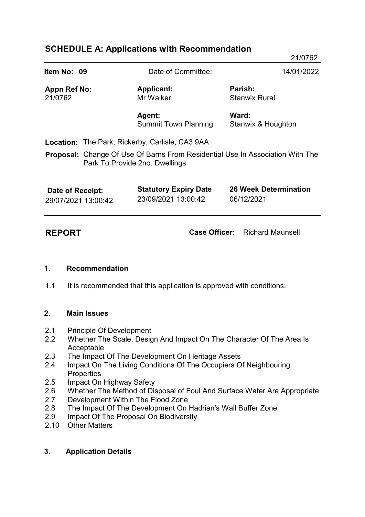# **SCHEDULE A: Applications with Recommendation**

|                                         |                                |                                                        | 21/0762                                                                              |
|-----------------------------------------|--------------------------------|--------------------------------------------------------|--------------------------------------------------------------------------------------|
| Item No: 09                             |                                | Date of Committee:                                     | 14/01/2022                                                                           |
| <b>Appn Ref No:</b><br>21/0762          |                                | <b>Applicant:</b><br>Mr Walker                         | Parish:<br><b>Stanwix Rural</b>                                                      |
|                                         |                                | Agent:<br><b>Summit Town Planning</b>                  | Ward:<br>Stanwix & Houghton                                                          |
|                                         |                                | <b>Location:</b> The Park, Rickerby, Carlisle, CA3 9AA |                                                                                      |
|                                         | Park To Provide 2no. Dwellings |                                                        | <b>Proposal:</b> Change Of Use Of Barns From Residential Use In Association With The |
| Date of Receipt:<br>29/07/2021 13:00:42 |                                | <b>Statutory Expiry Date</b><br>23/09/2021 13:00:42    | <b>26 Week Determination</b><br>06/12/2021                                           |

**REPORT Case Officer:** Richard Maunsell

#### **1. Recommendation**

1.1 It is recommended that this application is approved with conditions.

#### **2. Main Issues**

- 2.1 Principle Of Development
- 2.2 Whether The Scale, Design And Impact On The Character Of The Area Is Acceptable
- 2.3 The Impact Of The Development On Heritage Assets
- 2.4 Impact On The Living Conditions Of The Occupiers Of Neighbouring **Properties**
- 2.5 Impact On Highway Safety
- 2.6 Whether The Method of Disposal of Foul And Surface Water Are Appropriate
- 2.7 Development Within The Flood Zone
- 2.8 The Impact Of The Development On Hadrian's Wall Buffer Zone
- 2.9 Impact Of The Proposal On Biodiversity
- 2.10 Other Matters

# **3. Application Details**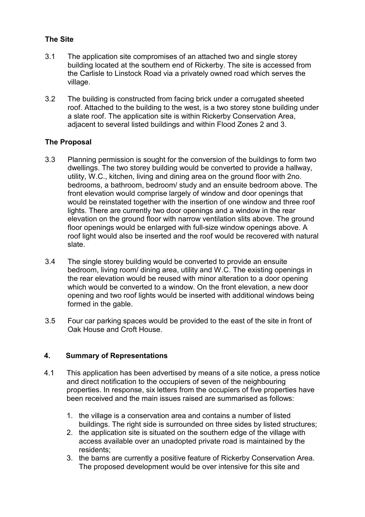# **The Site**

- 3.1 The application site compromises of an attached two and single storey building located at the southern end of Rickerby. The site is accessed from the Carlisle to Linstock Road via a privately owned road which serves the village.
- 3.2 The building is constructed from facing brick under a corrugated sheeted roof. Attached to the building to the west, is a two storey stone building under a slate roof. The application site is within Rickerby Conservation Area, adjacent to several listed buildings and within Flood Zones 2 and 3.

# **The Proposal**

- 3.3 Planning permission is sought for the conversion of the buildings to form two dwellings. The two storey building would be converted to provide a hallway, utility, W.C., kitchen, living and dining area on the ground floor with 2no. bedrooms, a bathroom, bedroom/ study and an ensuite bedroom above. The front elevation would comprise largely of window and door openings that would be reinstated together with the insertion of one window and three roof lights. There are currently two door openings and a window in the rear elevation on the ground floor with narrow ventilation slits above. The ground floor openings would be enlarged with full-size window openings above. A roof light would also be inserted and the roof would be recovered with natural slate.
- 3.4 The single storey building would be converted to provide an ensuite bedroom, living room/ dining area, utility and W.C. The existing openings in the rear elevation would be reused with minor alteration to a door opening which would be converted to a window. On the front elevation, a new door opening and two roof lights would be inserted with additional windows being formed in the gable.
- 3.5 Four car parking spaces would be provided to the east of the site in front of Oak House and Croft House.

# **4. Summary of Representations**

- 4.1 This application has been advertised by means of a site notice, a press notice and direct notification to the occupiers of seven of the neighbouring properties. In response, six letters from the occupiers of five properties have been received and the main issues raised are summarised as follows:
	- 1. the village is a conservation area and contains a number of listed buildings. The right side is surrounded on three sides by listed structures;
	- 2. the application site is situated on the southern edge of the village with access available over an unadopted private road is maintained by the residents;
	- 3. the barns are currently a positive feature of Rickerby Conservation Area. The proposed development would be over intensive for this site and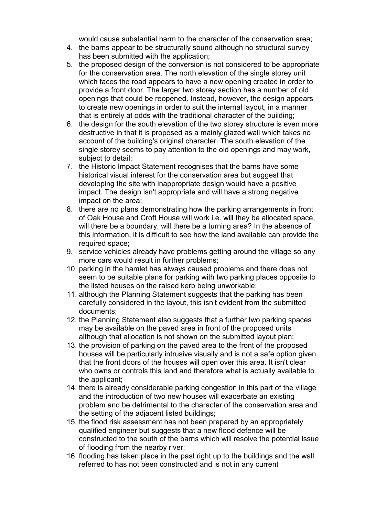would cause substantial harm to the character of the conservation area;

- 4. the barns appear to be structurally sound although no structural survey has been submitted with the application;
- 5. the proposed design of the conversion is not considered to be appropriate for the conservation area. The north elevation of the single storey unit which faces the road appears to have a new opening created in order to provide a front door. The larger two storey section has a number of old openings that could be reopened. Instead, however, the design appears to create new openings in order to suit the internal layout, in a manner that is entirely at odds with the traditional character of the building;
- 6. the design for the south elevation of the two storey structure is even more destructive in that it is proposed as a mainly glazed wall which takes no account of the building's original character. The south elevation of the single storey seems to pay attention to the old openings and may work, subject to detail;
- 7. the Historic Impact Statement recognises that the barns have some historical visual interest for the conservation area but suggest that developing the site with inappropriate design would have a positive impact. The design isn't appropriate and will have a strong negative impact on the area;
- 8. there are no plans demonstrating how the parking arrangements in front of Oak House and Croft House will work i.e. will they be allocated space, will there be a boundary, will there be a turning area? In the absence of this information, it is difficult to see how the land available can provide the required space;
- 9. service vehicles already have problems getting around the village so any more cars would result in further problems;
- 10. parking in the hamlet has always caused problems and there does not seem to be suitable plans for parking with two parking places opposite to the listed houses on the raised kerb being unworkable;
- 11. although the Planning Statement suggests that the parking has been carefully considered in the layout, this isn't evident from the submitted documents;
- 12. the Planning Statement also suggests that a further two parking spaces may be available on the paved area in front of the proposed units although that allocation is not shown on the submitted layout plan;
- 13. the provision of parking on the paved area to the front of the proposed houses will be particularly intrusive visually and is not a safe option given that the front doors of the houses will open over this area. It isn't clear who owns or controls this land and therefore what is actually available to the applicant;
- 14. there is already considerable parking congestion in this part of the village and the introduction of two new houses will exacerbate an existing problem and be detrimental to the character of the conservation area and the setting of the adjacent listed buildings;
- 15. the flood risk assessment has not been prepared by an appropriately qualified engineer but suggests that a new flood defence will be constructed to the south of the barns which will resolve the potential issue of flooding from the nearby river;
- 16. flooding has taken place in the past right up to the buildings and the wall referred to has not been constructed and is not in any current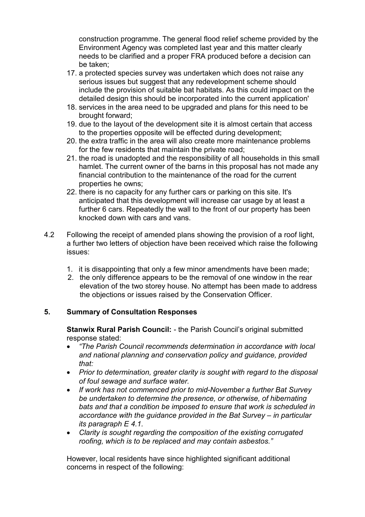construction programme. The general flood relief scheme provided by the Environment Agency was completed last year and this matter clearly needs to be clarified and a proper FRA produced before a decision can be taken;

- 17. a protected species survey was undertaken which does not raise any serious issues but suggest that any redevelopment scheme should include the provision of suitable bat habitats. As this could impact on the detailed design this should be incorporated into the current application'
- 18. services in the area need to be upgraded and plans for this need to be brought forward;
- 19. due to the layout of the development site it is almost certain that access to the properties opposite will be effected during development;
- 20. the extra traffic in the area will also create more maintenance problems for the few residents that maintain the private road;
- 21. the road is unadopted and the responsibility of all households in this small hamlet. The current owner of the barns in this proposal has not made any financial contribution to the maintenance of the road for the current properties he owns;
- 22. there is no capacity for any further cars or parking on this site. It's anticipated that this development will increase car usage by at least a further 6 cars. Repeatedly the wall to the front of our property has been knocked down with cars and vans.
- 4.2 Following the receipt of amended plans showing the provision of a roof light, a further two letters of objection have been received which raise the following issues:
	- 1. it is disappointing that only a few minor amendments have been made;
	- 2. the only difference appears to be the removal of one window in the rear elevation of the two storey house. No attempt has been made to address the objections or issues raised by the Conservation Officer.

# **5. Summary of Consultation Responses**

**Stanwix Rural Parish Council:** - the Parish Council's original submitted response stated:

- · *"The Parish Council recommends determination in accordance with local and national planning and conservation policy and guidance, provided that:*
- · *Prior to determination, greater clarity is sought with regard to the disposal of foul sewage and surface water.*
- · *If work has not commenced prior to mid-November a further Bat Survey be undertaken to determine the presence, or otherwise, of hibernating bats and that a condition be imposed to ensure that work is scheduled in accordance with the guidance provided in the Bat Survey – in particular its paragraph E 4.1.*
- · *Clarity is sought regarding the composition of the existing corrugated roofing, which is to be replaced and may contain asbestos."*

However, local residents have since highlighted significant additional concerns in respect of the following: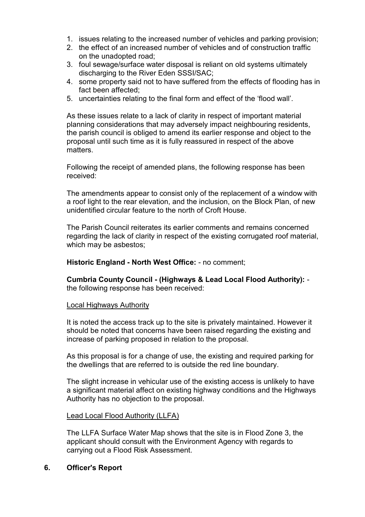- 1. issues relating to the increased number of vehicles and parking provision;
- 2. the effect of an increased number of vehicles and of construction traffic on the unadopted road;
- 3. foul sewage/surface water disposal is reliant on old systems ultimately discharging to the River Eden SSSI/SAC;
- 4. some property said not to have suffered from the effects of flooding has in fact been affected;
- 5. uncertainties relating to the final form and effect of the 'flood wall'.

As these issues relate to a lack of clarity in respect of important material planning considerations that may adversely impact neighbouring residents, the parish council is obliged to amend its earlier response and object to the proposal until such time as it is fully reassured in respect of the above matters.

Following the receipt of amended plans, the following response has been received:

The amendments appear to consist only of the replacement of a window with a roof light to the rear elevation, and the inclusion, on the Block Plan, of new unidentified circular feature to the north of Croft House.

The Parish Council reiterates its earlier comments and remains concerned regarding the lack of clarity in respect of the existing corrugated roof material, which may be asbestos;

**Historic England - North West Office:** - no comment;

**Cumbria County Council - (Highways & Lead Local Flood Authority):** the following response has been received:

#### Local Highways Authority

It is noted the access track up to the site is privately maintained. However it should be noted that concerns have been raised regarding the existing and increase of parking proposed in relation to the proposal.

As this proposal is for a change of use, the existing and required parking for the dwellings that are referred to is outside the red line boundary.

The slight increase in vehicular use of the existing access is unlikely to have a significant material affect on existing highway conditions and the Highways Authority has no objection to the proposal.

#### Lead Local Flood Authority (LLFA)

The LLFA Surface Water Map shows that the site is in Flood Zone 3, the applicant should consult with the Environment Agency with regards to carrying out a Flood Risk Assessment.

# **6. Officer's Report**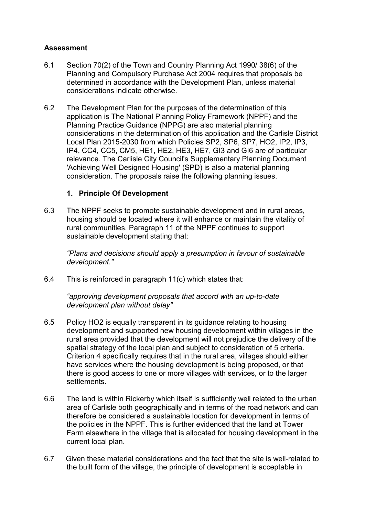# **Assessment**

- 6.1 Section 70(2) of the Town and Country Planning Act 1990/ 38(6) of the Planning and Compulsory Purchase Act 2004 requires that proposals be determined in accordance with the Development Plan, unless material considerations indicate otherwise.
- 6.2 The Development Plan for the purposes of the determination of this application is The National Planning Policy Framework (NPPF) and the Planning Practice Guidance (NPPG) are also material planning considerations in the determination of this application and the Carlisle District Local Plan 2015-2030 from which Policies SP2, SP6, SP7, HO2, IP2, IP3, IP4, CC4, CC5, CM5, HE1, HE2, HE3, HE7, GI3 and GI6 are of particular relevance. The Carlisle City Council's Supplementary Planning Document 'Achieving Well Designed Housing' (SPD) is also a material planning consideration. The proposals raise the following planning issues.

# **1. Principle Of Development**

6.3 The NPPF seeks to promote sustainable development and in rural areas, housing should be located where it will enhance or maintain the vitality of rural communities. Paragraph 11 of the NPPF continues to support sustainable development stating that:

*"Plans and decisions should apply a presumption in favour of sustainable development."*

6.4 This is reinforced in paragraph 11(c) which states that:

*"approving development proposals that accord with an up-to-date development plan without delay"*

- 6.5 Policy HO2 is equally transparent in its guidance relating to housing development and supported new housing development within villages in the rural area provided that the development will not prejudice the delivery of the spatial strategy of the local plan and subject to consideration of 5 criteria. Criterion 4 specifically requires that in the rural area, villages should either have services where the housing development is being proposed, or that there is good access to one or more villages with services, or to the larger settlements.
- 6.6 The land is within Rickerby which itself is sufficiently well related to the urban area of Carlisle both geographically and in terms of the road network and can therefore be considered a sustainable location for development in terms of the policies in the NPPF. This is further evidenced that the land at Tower Farm elsewhere in the village that is allocated for housing development in the current local plan.
- 6.7 Given these material considerations and the fact that the site is well-related to the built form of the village, the principle of development is acceptable in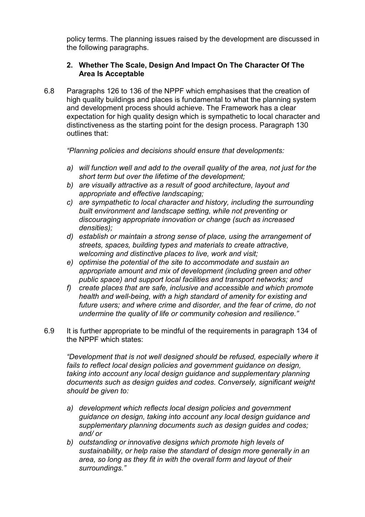policy terms. The planning issues raised by the development are discussed in the following paragraphs.

# **2. Whether The Scale, Design And Impact On The Character Of The Area Is Acceptable**

6.8 Paragraphs 126 to 136 of the NPPF which emphasises that the creation of high quality buildings and places is fundamental to what the planning system and development process should achieve. The Framework has a clear expectation for high quality design which is sympathetic to local character and distinctiveness as the starting point for the design process. Paragraph 130 outlines that:

*"Planning policies and decisions should ensure that developments:*

- *a) will function well and add to the overall quality of the area, not just for the short term but over the lifetime of the development;*
- *b) are visually attractive as a result of good architecture, layout and appropriate and effective landscaping;*
- *c) are sympathetic to local character and history, including the surrounding built environment and landscape setting, while not preventing or discouraging appropriate innovation or change (such as increased densities);*
- *d) establish or maintain a strong sense of place, using the arrangement of streets, spaces, building types and materials to create attractive, welcoming and distinctive places to live, work and visit;*
- *e) optimise the potential of the site to accommodate and sustain an appropriate amount and mix of development (including green and other public space) and support local facilities and transport networks; and*
- *f) create places that are safe, inclusive and accessible and which promote health and well-being, with a high standard of amenity for existing and future users; and where crime and disorder, and the fear of crime, do not undermine the quality of life or community cohesion and resilience."*
- 6.9 It is further appropriate to be mindful of the requirements in paragraph 134 of the NPPF which states:

*"Development that is not well designed should be refused, especially where it fails to reflect local design policies and government guidance on design, taking into account any local design guidance and supplementary planning documents such as design guides and codes. Conversely, significant weight should be given to:*

- *a) development which reflects local design policies and government guidance on design, taking into account any local design guidance and supplementary planning documents such as design guides and codes; and/ or*
- *b) outstanding or innovative designs which promote high levels of sustainability, or help raise the standard of design more generally in an area, so long as they fit in with the overall form and layout of their surroundings."*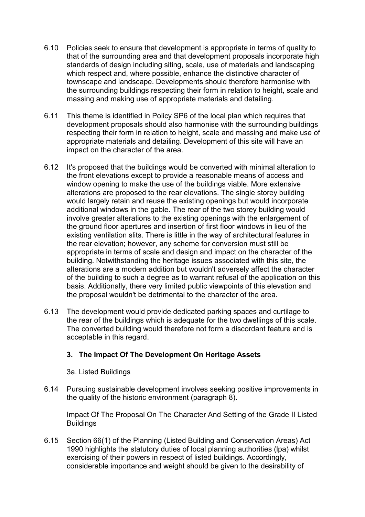- 6.10 Policies seek to ensure that development is appropriate in terms of quality to that of the surrounding area and that development proposals incorporate high standards of design including siting, scale, use of materials and landscaping which respect and, where possible, enhance the distinctive character of townscape and landscape. Developments should therefore harmonise with the surrounding buildings respecting their form in relation to height, scale and massing and making use of appropriate materials and detailing.
- 6.11 This theme is identified in Policy SP6 of the local plan which requires that development proposals should also harmonise with the surrounding buildings respecting their form in relation to height, scale and massing and make use of appropriate materials and detailing. Development of this site will have an impact on the character of the area.
- 6.12 It's proposed that the buildings would be converted with minimal alteration to the front elevations except to provide a reasonable means of access and window opening to make the use of the buildings viable. More extensive alterations are proposed to the rear elevations. The single storey building would largely retain and reuse the existing openings but would incorporate additional windows in the gable. The rear of the two storey building would involve greater alterations to the existing openings with the enlargement of the ground floor apertures and insertion of first floor windows in lieu of the existing ventilation slits. There is little in the way of architectural features in the rear elevation; however, any scheme for conversion must still be appropriate in terms of scale and design and impact on the character of the building. Notwithstanding the heritage issues associated with this site, the alterations are a modern addition but wouldn't adversely affect the character of the building to such a degree as to warrant refusal of the application on this basis. Additionally, there very limited public viewpoints of this elevation and the proposal wouldn't be detrimental to the character of the area.
- 6.13 The development would provide dedicated parking spaces and curtilage to the rear of the buildings which is adequate for the two dwellings of this scale. The converted building would therefore not form a discordant feature and is acceptable in this regard.

# **3. The Impact Of The Development On Heritage Assets**

3a. Listed Buildings

6.14 Pursuing sustainable development involves seeking positive improvements in the quality of the historic environment (paragraph 8).

Impact Of The Proposal On The Character And Setting of the Grade II Listed **Buildings** 

6.15 Section 66(1) of the Planning (Listed Building and Conservation Areas) Act 1990 highlights the statutory duties of local planning authorities (lpa) whilst exercising of their powers in respect of listed buildings. Accordingly, considerable importance and weight should be given to the desirability of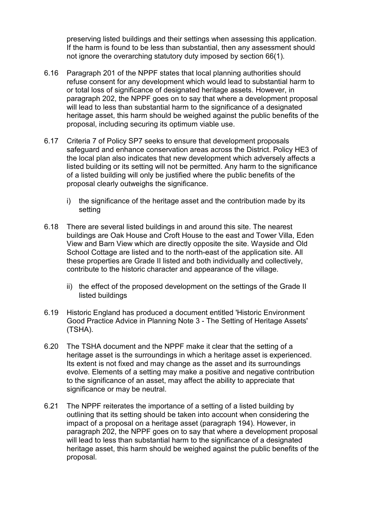preserving listed buildings and their settings when assessing this application. If the harm is found to be less than substantial, then any assessment should not ignore the overarching statutory duty imposed by section 66(1).

- 6.16 Paragraph 201 of the NPPF states that local planning authorities should refuse consent for any development which would lead to substantial harm to or total loss of significance of designated heritage assets. However, in paragraph 202, the NPPF goes on to say that where a development proposal will lead to less than substantial harm to the significance of a designated heritage asset, this harm should be weighed against the public benefits of the proposal, including securing its optimum viable use.
- 6.17 Criteria 7 of Policy SP7 seeks to ensure that development proposals safeguard and enhance conservation areas across the District. Policy HE3 of the local plan also indicates that new development which adversely affects a listed building or its setting will not be permitted. Any harm to the significance of a listed building will only be justified where the public benefits of the proposal clearly outweighs the significance.
	- i) the significance of the heritage asset and the contribution made by its setting
- 6.18 There are several listed buildings in and around this site. The nearest buildings are Oak House and Croft House to the east and Tower Villa, Eden View and Barn View which are directly opposite the site. Wayside and Old School Cottage are listed and to the north-east of the application site. All these properties are Grade II listed and both individually and collectively, contribute to the historic character and appearance of the village.
	- ii) the effect of the proposed development on the settings of the Grade II listed buildings
- 6.19 Historic England has produced a document entitled 'Historic Environment Good Practice Advice in Planning Note 3 - The Setting of Heritage Assets' (TSHA).
- 6.20 The TSHA document and the NPPF make it clear that the setting of a heritage asset is the surroundings in which a heritage asset is experienced. Its extent is not fixed and may change as the asset and its surroundings evolve*.* Elements of a setting may make a positive and negative contribution to the significance of an asset, may affect the ability to appreciate that significance or may be neutral.
- 6.21 The NPPF reiterates the importance of a setting of a listed building by outlining that its setting should be taken into account when considering the impact of a proposal on a heritage asset (paragraph 194). However, in paragraph 202, the NPPF goes on to say that where a development proposal will lead to less than substantial harm to the significance of a designated heritage asset, this harm should be weighed against the public benefits of the proposal.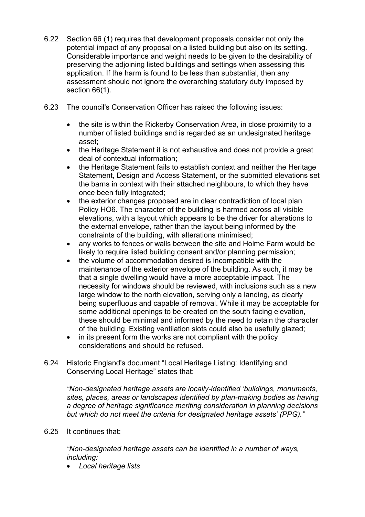- 6.22 Section 66 (1) requires that development proposals consider not only the potential impact of any proposal on a listed building but also on its setting. Considerable importance and weight needs to be given to the desirability of preserving the adjoining listed buildings and settings when assessing this application. If the harm is found to be less than substantial, then any assessment should not ignore the overarching statutory duty imposed by section 66(1).
- 6.23 The council's Conservation Officer has raised the following issues:
	- the site is within the Rickerby Conservation Area, in close proximity to a number of listed buildings and is regarded as an undesignated heritage asset;
	- the Heritage Statement it is not exhaustive and does not provide a great deal of contextual information;
	- the Heritage Statement fails to establish context and neither the Heritage Statement, Design and Access Statement, or the submitted elevations set the barns in context with their attached neighbours, to which they have once been fully integrated;
	- the exterior changes proposed are in clear contradiction of local plan Policy HO6. The character of the building is harmed across all visible elevations, with a layout which appears to be the driver for alterations to the external envelope, rather than the layout being informed by the constraints of the building, with alterations minimised;
	- · any works to fences or walls between the site and Holme Farm would be likely to require listed building consent and/or planning permission;
	- the volume of accommodation desired is incompatible with the maintenance of the exterior envelope of the building. As such, it may be that a single dwelling would have a more acceptable impact. The necessity for windows should be reviewed, with inclusions such as a new large window to the north elevation, serving only a landing, as clearly being superfluous and capable of removal. While it may be acceptable for some additional openings to be created on the south facing elevation, these should be minimal and informed by the need to retain the character of the building. Existing ventilation slots could also be usefully glazed;
	- in its present form the works are not compliant with the policy considerations and should be refused.
- 6.24 Historic England's document "Local Heritage Listing: Identifying and Conserving Local Heritage" states that:

*"Non-designated heritage assets are locally-identified 'buildings, monuments, sites, places, areas or landscapes identified by plan-making bodies as having a degree of heritage significance meriting consideration in planning decisions but which do not meet the criteria for designated heritage assets' (PPG)."*

6.25 It continues that:

*"Non-designated heritage assets can be identified in a number of ways, including:*

· *Local heritage lists*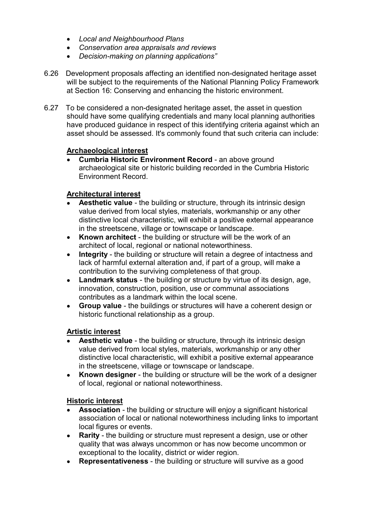- · *Local and Neighbourhood Plans*
- · *Conservation area appraisals and reviews*
- · *Decision-making on planning applications"*
- 6.26 Development proposals affecting an identified non-designated heritage asset will be subject to the requirements of the National Planning Policy Framework at Section 16: Conserving and enhancing the historic environment.
- 6.27 To be considered a non-designated heritage asset, the asset in question should have some qualifying credentials and many local planning authorities have produced guidance in respect of this identifying criteria against which an asset should be assessed. It's commonly found that such criteria can include:

# **Archaeological interest**

**Cumbria Historic Environment Record - an above ground** archaeological site or historic building recorded in the Cumbria Historic Environment Record.

### **Architectural interest**

- · **Aesthetic value** the building or structure, through its intrinsic design value derived from local styles, materials, workmanship or any other distinctive local characteristic, will exhibit a positive external appearance in the streetscene, village or townscape or landscape.
- · **Known architect** the building or structure will be the work of an architect of local, regional or national noteworthiness.
- · **Integrity** the building or structure will retain a degree of intactness and lack of harmful external alteration and, if part of a group, will make a contribution to the surviving completeness of that group.
- · **Landmark status** the building or structure by virtue of its design, age, innovation, construction, position, use or communal associations contributes as a landmark within the local scene.
- · **Group value** the buildings or structures will have a coherent design or historic functional relationship as a group.

#### **Artistic interest**

- · **Aesthetic value** the building or structure, through its intrinsic design value derived from local styles, materials, workmanship or any other distinctive local characteristic, will exhibit a positive external appearance in the streetscene, village or townscape or landscape.
- · **Known designer** the building or structure will be the work of a designer of local, regional or national noteworthiness.

# **Historic interest**

- · **Association** the building or structure will enjoy a significant historical association of local or national noteworthiness including links to important local figures or events.
- · **Rarity** the building or structure must represent a design, use or other quality that was always uncommon or has now become uncommon or exceptional to the locality, district or wider region.
- · **Representativeness** the building or structure will survive as a good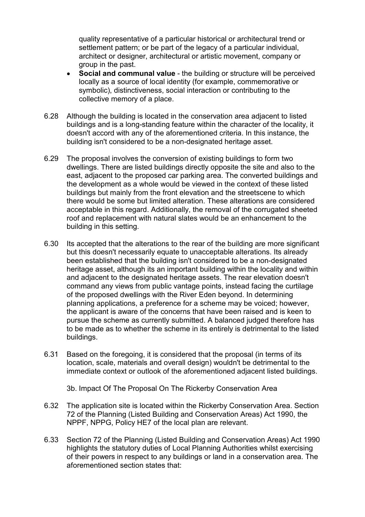quality representative of a particular historical or architectural trend or settlement pattern; or be part of the legacy of a particular individual, architect or designer, architectural or artistic movement, company or group in the past.

- · **Social and communal value** the building or structure will be perceived locally as a source of local identity (for example, commemorative or symbolic), distinctiveness, social interaction or contributing to the collective memory of a place.
- 6.28 Although the building is located in the conservation area adjacent to listed buildings and is a long-standing feature within the character of the locality, it doesn't accord with any of the aforementioned criteria. In this instance, the building isn't considered to be a non-designated heritage asset.
- 6.29 The proposal involves the conversion of existing buildings to form two dwellings. There are listed buildings directly opposite the site and also to the east, adjacent to the proposed car parking area. The converted buildings and the development as a whole would be viewed in the context of these listed buildings but mainly from the front elevation and the streetscene to which there would be some but limited alteration. These alterations are considered acceptable in this regard. Additionally, the removal of the corrugated sheeted roof and replacement with natural slates would be an enhancement to the building in this setting.
- 6.30 Its accepted that the alterations to the rear of the building are more significant but this doesn't necessarily equate to unacceptable alterations. Its already been established that the building isn't considered to be a non-designated heritage asset, although its an important building within the locality and within and adjacent to the designated heritage assets. The rear elevation doesn't command any views from public vantage points, instead facing the curtilage of the proposed dwellings with the River Eden beyond. In determining planning applications, a preference for a scheme may be voiced; however, the applicant is aware of the concerns that have been raised and is keen to pursue the scheme as currently submitted. A balanced judged therefore has to be made as to whether the scheme in its entirely is detrimental to the listed buildings.
- 6.31 Based on the foregoing, it is considered that the proposal (in terms of its location, scale, materials and overall design) wouldn't be detrimental to the immediate context or outlook of the aforementioned adjacent listed buildings.

3b. Impact Of The Proposal On The Rickerby Conservation Area

- 6.32 The application site is located within the Rickerby Conservation Area. Section 72 of the Planning (Listed Building and Conservation Areas) Act 1990, the NPPF, NPPG, Policy HE7 of the local plan are relevant.
- 6.33 Section 72 of the Planning (Listed Building and Conservation Areas) Act 1990 highlights the statutory duties of Local Planning Authorities whilst exercising of their powers in respect to any buildings or land in a conservation area. The aforementioned section states that: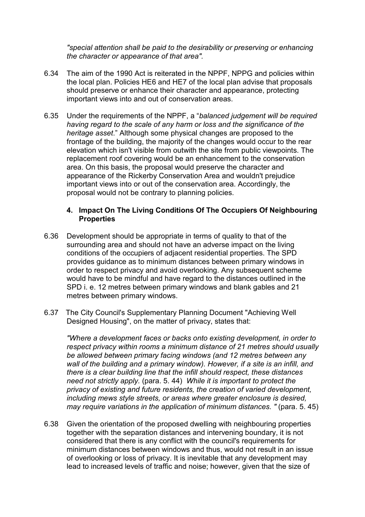*"special attention shall be paid to the desirability or preserving or enhancing the character or appearance of that area".*

- 6.34 The aim of the 1990 Act is reiterated in the NPPF, NPPG and policies within the local plan. Policies HE6 and HE7 of the local plan advise that proposals should preserve or enhance their character and appearance, protecting important views into and out of conservation areas.
- 6.35 Under the requirements of the NPPF, a "*balanced judgement will be required having regard to the scale of any harm or loss and the significance of the heritage asset*." Although some physical changes are proposed to the frontage of the building, the majority of the changes would occur to the rear elevation which isn't visible from outwith the site from public viewpoints. The replacement roof covering would be an enhancement to the conservation area. On this basis, the proposal would preserve the character and appearance of the Rickerby Conservation Area and wouldn't prejudice important views into or out of the conservation area. Accordingly, the proposal would not be contrary to planning policies.

#### **4. Impact On The Living Conditions Of The Occupiers Of Neighbouring Properties**

- 6.36 Development should be appropriate in terms of quality to that of the surrounding area and should not have an adverse impact on the living conditions of the occupiers of adjacent residential properties. The SPD provides guidance as to minimum distances between primary windows in order to respect privacy and avoid overlooking. Any subsequent scheme would have to be mindful and have regard to the distances outlined in the SPD i. e. 12 metres between primary windows and blank gables and 21 metres between primary windows.
- 6.37 The City Council's Supplementary Planning Document "Achieving Well Designed Housing", on the matter of privacy, states that:

*"Where a development faces or backs onto existing development, in order to respect privacy within rooms a minimum distance of 21 metres should usually be allowed between primary facing windows (and 12 metres between any wall of the building and a primary window). However, if a site is an infill, and there is a clear building line that the infill should respect, these distances need not strictly apply.* (para. 5. 44) *While it is important to protect the privacy of existing and future residents, the creation of varied development, including mews style streets, or areas where greater enclosure is desired, may require variations in the application of minimum distances. "* (para. 5. 45)

6.38 Given the orientation of the proposed dwelling with neighbouring properties together with the separation distances and intervening boundary, it is not considered that there is any conflict with the council's requirements for minimum distances between windows and thus, would not result in an issue of overlooking or loss of privacy. It is inevitable that any development may lead to increased levels of traffic and noise; however, given that the size of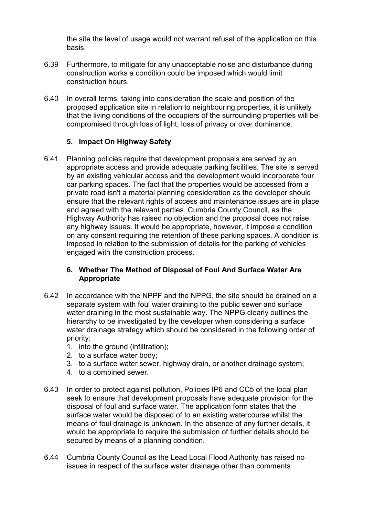the site the level of usage would not warrant refusal of the application on this basis.

- 6.39 Furthermore, to mitigate for any unacceptable noise and disturbance during construction works a condition could be imposed which would limit construction hours.
- 6.40 In overall terms, taking into consideration the scale and position of the proposed application site in relation to neighbouring properties, it is unlikely that the living conditions of the occupiers of the surrounding properties will be compromised through loss of light, loss of privacy or over dominance.

# **5. Impact On Highway Safety**

6.41 Planning policies require that development proposals are served by an appropriate access and provide adequate parking facilities. The site is served by an existing vehicular access and the development would incorporate four car parking spaces. The fact that the properties would be accessed from a private road isn't a material planning consideration as the developer should ensure that the relevant rights of access and maintenance issues are in place and agreed with the relevant parties. Cumbria County Council, as the Highway Authority has raised no objection and the proposal does not raise any highway issues. It would be appropriate, however, it impose a condition on any consent requiring the retention of these parking spaces. A condition is imposed in relation to the submission of details for the parking of vehicles engaged with the construction process.

# **6. Whether The Method of Disposal of Foul And Surface Water Are Appropriate**

- 6.42 In accordance with the NPPF and the NPPG, the site should be drained on a separate system with foul water draining to the public sewer and surface water draining in the most sustainable way. The NPPG clearly outlines the hierarchy to be investigated by the developer when considering a surface water drainage strategy which should be considered in the following order of priority:
	- 1. into the ground (infiltration);
	- 2. to a surface water body;
	- 3. to a surface water sewer, highway drain, or another drainage system;
	- 4. to a combined sewer.
- 6.43 In order to protect against pollution, Policies IP6 and CC5 of the local plan seek to ensure that development proposals have adequate provision for the disposal of foul and surface water. The application form states that the surface water would be disposed of to an existing watercourse whilst the means of foul drainage is unknown. In the absence of any further details, it would be appropriate to require the submission of further details should be secured by means of a planning condition.
- 6.44 Cumbria County Council as the Lead Local Flood Authority has raised no issues in respect of the surface water drainage other than comments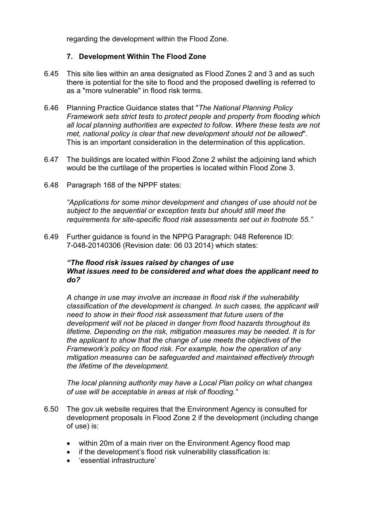regarding the development within the Flood Zone.

### **7. Development Within The Flood Zone**

- 6.45 This site lies within an area designated as Flood Zones 2 and 3 and as such there is potential for the site to flood and the proposed dwelling is referred to as a "more vulnerable" in flood risk terms.
- 6.46 Planning Practice Guidance states that "*The National Planning Policy Framework sets strict tests to protect people and property from flooding which all local planning authorities are expected to follow. Where these tests are not met, national policy is clear that new development should not be allowed*". This is an important consideration in the determination of this application.
- 6.47 The buildings are located within Flood Zone 2 whilst the adjoining land which would be the curtilage of the properties is located within Flood Zone 3.
- 6.48 Paragraph 168 of the NPPF states:

*"Applications for some minor development and changes of use should not be subject to the sequential or exception tests but should still meet the requirements for site-specific flood risk assessments set out in footnote 55."*

6.49 Further guidance is found in the NPPG Paragraph: 048 Reference ID: 7-048-20140306 (Revision date: 06 03 2014) which states:

#### *"The flood risk issues raised by changes of use What issues need to be considered and what does the applicant need to do?*

*A change in use may involve an increase in flood risk if the vulnerability classification of the development is changed. In such cases, the applicant will need to show in their flood risk assessment that future users of the development will not be placed in danger from flood hazards throughout its lifetime. Depending on the risk, mitigation measures may be needed. It is for the applicant to show that the change of use meets the objectives of the Framework's policy on flood risk. For example, how the operation of any mitigation measures can be safeguarded and maintained effectively through the lifetime of the development.*

*The local planning authority may have a Local Plan policy on what changes of use will be acceptable in areas at risk of flooding."*

- 6.50 The gov.uk website requires that the Environment Agency is consulted for development proposals in Flood Zone 2 if the development (including change of use) is:
	- within 20m of a main river on the Environment Agency flood map
	- if the development's flood risk vulnerability classification is:
	- · 'essential infrastructure'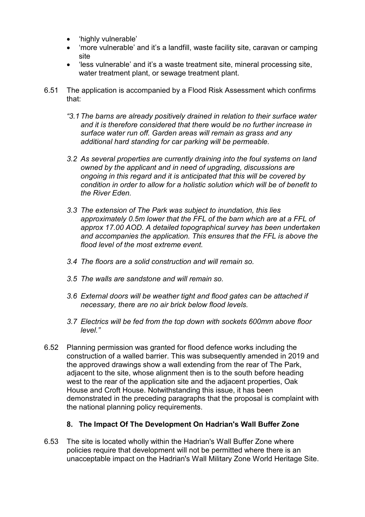- · 'highly vulnerable'
- · 'more vulnerable' and it's a landfill, waste facility site, caravan or camping site
- · 'less vulnerable' and it's a waste treatment site, mineral processing site, water treatment plant, or sewage treatment plant.
- 6.51 The application is accompanied by a Flood Risk Assessment which confirms that:
	- *"3.1 The barns are already positively drained in relation to their surface water and it is therefore considered that there would be no further increase in surface water run off. Garden areas will remain as grass and any additional hard standing for car parking will be permeable.*
	- *3.2 As several properties are currently draining into the foul systems on land owned by the applicant and in need of upgrading, discussions are ongoing in this regard and it is anticipated that this will be covered by condition in order to allow for a holistic solution which will be of benefit to the River Eden.*
	- *3.3 The extension of The Park was subject to inundation, this lies approximately 0.5m lower that the FFL of the barn which are at a FFL of approx 17.00 AOD. A detailed topographical survey has been undertaken and accompanies the application. This ensures that the FFL is above the flood level of the most extreme event.*
	- *3.4 The floors are a solid construction and will remain so.*
	- *3.5 The walls are sandstone and will remain so.*
	- *3.6 External doors will be weather tight and flood gates can be attached if necessary, there are no air brick below flood levels.*
	- *3.7 Electrics will be fed from the top down with sockets 600mm above floor level."*
- 6.52 Planning permission was granted for flood defence works including the construction of a walled barrier. This was subsequently amended in 2019 and the approved drawings show a wall extending from the rear of The Park, adjacent to the site, whose alignment then is to the south before heading west to the rear of the application site and the adjacent properties, Oak House and Croft House. Notwithstanding this issue, it has been demonstrated in the preceding paragraphs that the proposal is complaint with the national planning policy requirements.

# **8. The Impact Of The Development On Hadrian's Wall Buffer Zone**

6.53 The site is located wholly within the Hadrian's Wall Buffer Zone where policies require that development will not be permitted where there is an unacceptable impact on the Hadrian's Wall Military Zone World Heritage Site.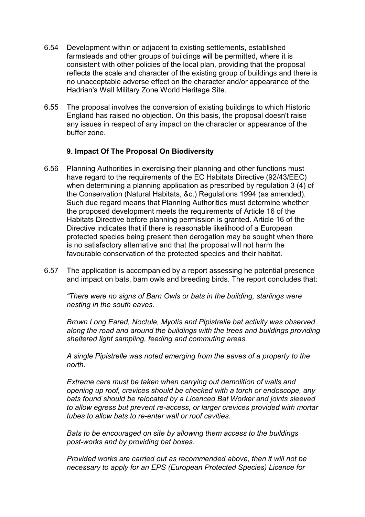- 6.54 Development within or adjacent to existing settlements, established farmsteads and other groups of buildings will be permitted, where it is consistent with other policies of the local plan, providing that the proposal reflects the scale and character of the existing group of buildings and there is no unacceptable adverse effect on the character and/or appearance of the Hadrian's Wall Military Zone World Heritage Site.
- 6.55 The proposal involves the conversion of existing buildings to which Historic England has raised no objection. On this basis, the proposal doesn't raise any issues in respect of any impact on the character or appearance of the buffer zone.

### **9. Impact Of The Proposal On Biodiversity**

- 6.56 Planning Authorities in exercising their planning and other functions must have regard to the requirements of the EC Habitats Directive (92/43/EEC) when determining a planning application as prescribed by regulation 3 (4) of the Conservation (Natural Habitats, &c.) Regulations 1994 (as amended). Such due regard means that Planning Authorities must determine whether the proposed development meets the requirements of Article 16 of the Habitats Directive before planning permission is granted. Article 16 of the Directive indicates that if there is reasonable likelihood of a European protected species being present then derogation may be sought when there is no satisfactory alternative and that the proposal will not harm the favourable conservation of the protected species and their habitat.
- 6.57 The application is accompanied by a report assessing he potential presence and impact on bats, barn owls and breeding birds. The report concludes that:

*"There were no signs of Barn Owls or bats in the building, starlings were nesting in the south eaves.*

*Brown Long Eared, Noctule, Myotis and Pipistrelle bat activity was observed along the road and around the buildings with the trees and buildings providing sheltered light sampling, feeding and commuting areas.*

*A single Pipistrelle was noted emerging from the eaves of a property to the north.*

*Extreme care must be taken when carrying out demolition of walls and opening up roof, crevices should be checked with a torch or endoscope, any bats found should be relocated by a Licenced Bat Worker and joints sleeved to allow egress but prevent re-access, or larger crevices provided with mortar tubes to allow bats to re-enter wall or roof cavities.*

*Bats to be encouraged on site by allowing them access to the buildings post-works and by providing bat boxes.*

*Provided works are carried out as recommended above, then it will not be necessary to apply for an EPS (European Protected Species) Licence for*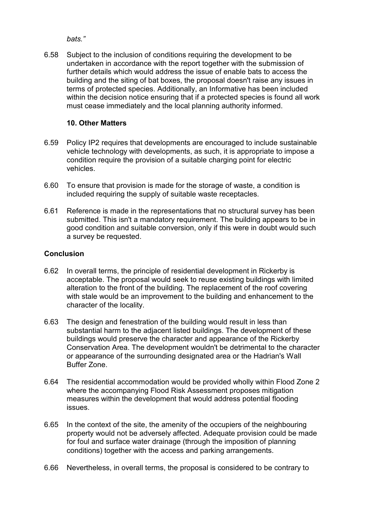*bats."*

6.58 Subject to the inclusion of conditions requiring the development to be undertaken in accordance with the report together with the submission of further details which would address the issue of enable bats to access the building and the siting of bat boxes, the proposal doesn't raise any issues in terms of protected species. Additionally, an Informative has been included within the decision notice ensuring that if a protected species is found all work must cease immediately and the local planning authority informed.

# **10. Other Matters**

- 6.59 Policy IP2 requires that developments are encouraged to include sustainable vehicle technology with developments, as such, it is appropriate to impose a condition require the provision of a suitable charging point for electric vehicles.
- 6.60 To ensure that provision is made for the storage of waste, a condition is included requiring the supply of suitable waste receptacles.
- 6.61 Reference is made in the representations that no structural survey has been submitted. This isn't a mandatory requirement. The building appears to be in good condition and suitable conversion, only if this were in doubt would such a survey be requested.

# **Conclusion**

- 6.62 In overall terms, the principle of residential development in Rickerby is acceptable. The proposal would seek to reuse existing buildings with limited alteration to the front of the building. The replacement of the roof covering with stale would be an improvement to the building and enhancement to the character of the locality.
- 6.63 The design and fenestration of the building would result in less than substantial harm to the adjacent listed buildings. The development of these buildings would preserve the character and appearance of the Rickerby Conservation Area. The development wouldn't be detrimental to the character or appearance of the surrounding designated area or the Hadrian's Wall Buffer Zone.
- 6.64 The residential accommodation would be provided wholly within Flood Zone 2 where the accompanying Flood Risk Assessment proposes mitigation measures within the development that would address potential flooding issues.
- 6.65 In the context of the site, the amenity of the occupiers of the neighbouring property would not be adversely affected. Adequate provision could be made for foul and surface water drainage (through the imposition of planning conditions) together with the access and parking arrangements.
- 6.66 Nevertheless, in overall terms, the proposal is considered to be contrary to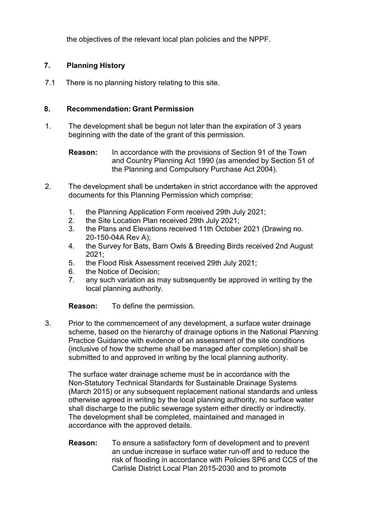the objectives of the relevant local plan policies and the NPPF.

# **7. Planning History**

7.1 There is no planning history relating to this site.

# **8. Recommendation: Grant Permission**

- 1. The development shall be begun not later than the expiration of 3 years beginning with the date of the grant of this permission.
	- **Reason:** In accordance with the provisions of Section 91 of the Town and Country Planning Act 1990 (as amended by Section 51 of the Planning and Compulsory Purchase Act 2004).
- 2. The development shall be undertaken in strict accordance with the approved documents for this Planning Permission which comprise:
	- 1. the Planning Application Form received 29th July 2021;
	- 2. the Site Location Plan received 29th July 2021;
	- 3. the Plans and Elevations received 11th October 2021 (Drawing no. 20-150-04A Rev A);
	- 4. the Survey for Bats, Barn Owls & Breeding Birds received 2nd August 2021;
	- 5. the Flood Risk Assessment received 29th July 2021;
	- 6. the Notice of Decision;
	- 7. any such variation as may subsequently be approved in writing by the local planning authority.

**Reason:** To define the permission.

3. Prior to the commencement of any development, a surface water drainage scheme, based on the hierarchy of drainage options in the National Planning Practice Guidance with evidence of an assessment of the site conditions (inclusive of how the scheme shall be managed after completion) shall be submitted to and approved in writing by the local planning authority.

The surface water drainage scheme must be in accordance with the Non-Statutory Technical Standards for Sustainable Drainage Systems (March 2015) or any subsequent replacement national standards and unless otherwise agreed in writing by the local planning authority, no surface water shall discharge to the public sewerage system either directly or indirectly. The development shall be completed, maintained and managed in accordance with the approved details.

**Reason:** To ensure a satisfactory form of development and to prevent an undue increase in surface water run-off and to reduce the risk of flooding in accordance with Policies SP6 and CC5 of the Carlisle District Local Plan 2015-2030 and to promote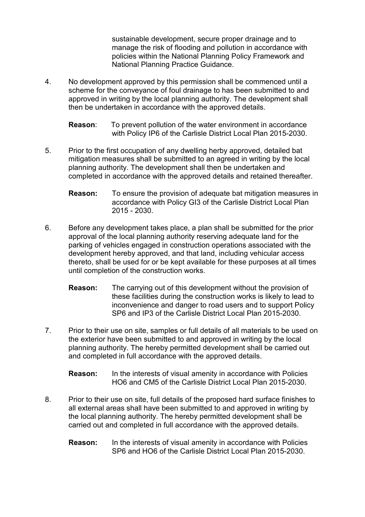sustainable development, secure proper drainage and to manage the risk of flooding and pollution in accordance with policies within the National Planning Policy Framework and National Planning Practice Guidance.

4. No development approved by this permission shall be commenced until a scheme for the conveyance of foul drainage to has been submitted to and approved in writing by the local planning authority. The development shall then be undertaken in accordance with the approved details.

**Reason**: To prevent pollution of the water environment in accordance with Policy IP6 of the Carlisle District Local Plan 2015-2030.

- 5. Prior to the first occupation of any dwelling herby approved, detailed bat mitigation measures shall be submitted to an agreed in writing by the local planning authority. The development shall then be undertaken and completed in accordance with the approved details and retained thereafter.
	- **Reason:** To ensure the provision of adequate bat mitigation measures in accordance with Policy GI3 of the Carlisle District Local Plan 2015 - 2030.
- 6. Before any development takes place, a plan shall be submitted for the prior approval of the local planning authority reserving adequate land for the parking of vehicles engaged in construction operations associated with the development hereby approved, and that land, including vehicular access thereto, shall be used for or be kept available for these purposes at all times until completion of the construction works.
	- **Reason:** The carrying out of this development without the provision of these facilities during the construction works is likely to lead to inconvenience and danger to road users and to support Policy SP6 and IP3 of the Carlisle District Local Plan 2015-2030.
- 7. Prior to their use on site, samples or full details of all materials to be used on the exterior have been submitted to and approved in writing by the local planning authority. The hereby permitted development shall be carried out and completed in full accordance with the approved details.

**Reason:** In the interests of visual amenity in accordance with Policies HO6 and CM5 of the Carlisle District Local Plan 2015-2030.

- 8. Prior to their use on site, full details of the proposed hard surface finishes to all external areas shall have been submitted to and approved in writing by the local planning authority. The hereby permitted development shall be carried out and completed in full accordance with the approved details.
	- **Reason:** In the interests of visual amenity in accordance with Policies SP6 and HO6 of the Carlisle District Local Plan 2015-2030.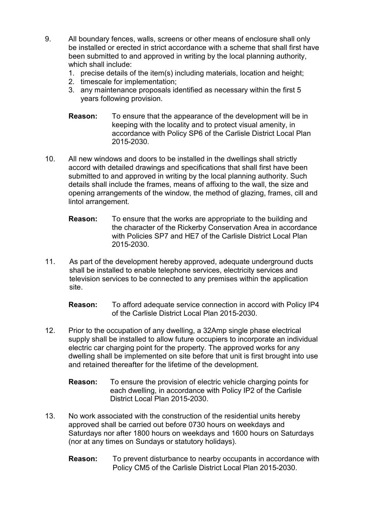- 9. All boundary fences, walls, screens or other means of enclosure shall only be installed or erected in strict accordance with a scheme that shall first have been submitted to and approved in writing by the local planning authority, which shall include:
	- 1. precise details of the item(s) including materials, location and height;
	- 2. timescale for implementation;
	- 3. any maintenance proposals identified as necessary within the first 5 years following provision.
	- **Reason:** To ensure that the appearance of the development will be in keeping with the locality and to protect visual amenity, in accordance with Policy SP6 of the Carlisle District Local Plan 2015-2030.
- 10. All new windows and doors to be installed in the dwellings shall strictly accord with detailed drawings and specifications that shall first have been submitted to and approved in writing by the local planning authority. Such details shall include the frames, means of affixing to the wall, the size and opening arrangements of the window, the method of glazing, frames, cill and lintol arrangement.
	- **Reason:** To ensure that the works are appropriate to the building and the character of the Rickerby Conservation Area in accordance with Policies SP7 and HE7 of the Carlisle District Local Plan 2015-2030.
- 11. As part of the development hereby approved, adequate underground ducts shall be installed to enable telephone services, electricity services and television services to be connected to any premises within the application site.

**Reason:** To afford adequate service connection in accord with Policy IP4 of the Carlisle District Local Plan 2015-2030.

- 12. Prior to the occupation of any dwelling, a 32Amp single phase electrical supply shall be installed to allow future occupiers to incorporate an individual electric car charging point for the property. The approved works for any dwelling shall be implemented on site before that unit is first brought into use and retained thereafter for the lifetime of the development.
	- **Reason:** To ensure the provision of electric vehicle charging points for each dwelling, in accordance with Policy IP2 of the Carlisle District Local Plan 2015-2030.
- 13. No work associated with the construction of the residential units hereby approved shall be carried out before 0730 hours on weekdays and Saturdays nor after 1800 hours on weekdays and 1600 hours on Saturdays (nor at any times on Sundays or statutory holidays).
	- **Reason:** To prevent disturbance to nearby occupants in accordance with Policy CM5 of the Carlisle District Local Plan 2015-2030.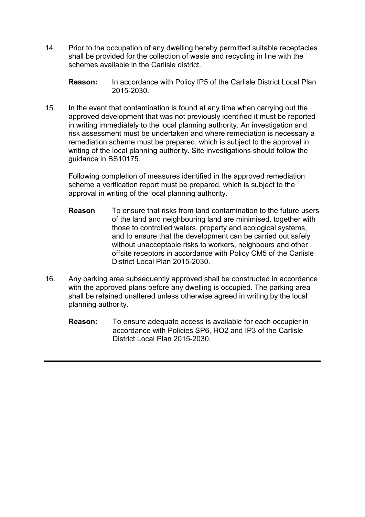14. Prior to the occupation of any dwelling hereby permitted suitable receptacles shall be provided for the collection of waste and recycling in line with the schemes available in the Carlisle district.

**Reason:** In accordance with Policy IP5 of the Carlisle District Local Plan 2015-2030.

15. In the event that contamination is found at any time when carrying out the approved development that was not previously identified it must be reported in writing immediately to the local planning authority. An investigation and risk assessment must be undertaken and where remediation is necessary a remediation scheme must be prepared, which is subject to the approval in writing of the local planning authority. Site investigations should follow the guidance in BS10175.

Following completion of measures identified in the approved remediation scheme a verification report must be prepared, which is subject to the approval in writing of the local planning authority.

- **Reason** To ensure that risks from land contamination to the future users of the land and neighbouring land are minimised, together with those to controlled waters, property and ecological systems, and to ensure that the development can be carried out safely without unacceptable risks to workers, neighbours and other offsite receptors in accordance with Policy CM5 of the Carlisle District Local Plan 2015-2030.
- 16. Any parking area subsequently approved shall be constructed in accordance with the approved plans before any dwelling is occupied. The parking area shall be retained unaltered unless otherwise agreed in writing by the local planning authority.
	- **Reason:** To ensure adequate access is available for each occupier in accordance with Policies SP6, HO2 and IP3 of the Carlisle District Local Plan 2015-2030.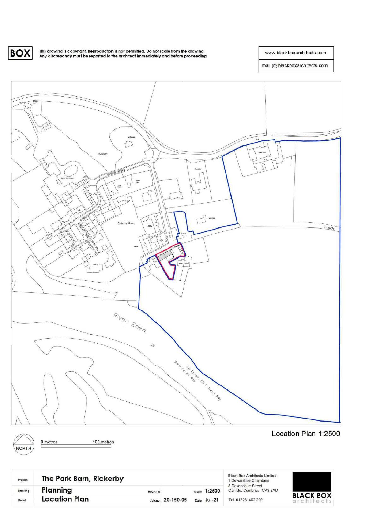**BOX** 

This drawing is copyright. Reproduction is not permitted. Do not scale from the drawing.<br>Any discrepancy must be reported to the architect immediately and before proceeding.

www.blackboxarchitects.com

mail @ blackboxarchitects.com







0 metres 100 metres Location Plan 1:2500

| Project | The Park Barn, Rickerby |  |                   |  |              | <b>Black Box Architects Limited.</b><br>1 Devonshire Chambers           |
|---------|-------------------------|--|-------------------|--|--------------|-------------------------------------------------------------------------|
| Drawing | Planning<br>Revision    |  |                   |  | Scale 1:2500 | 8 Devonshire Street<br>Carlisle, Cumbria, CA3 8AD<br>Tel: 01228 402 200 |
| Detail  | <b>Location Plan</b>    |  | Job.no. 20-150-05 |  | Date Jul-21  |                                                                         |

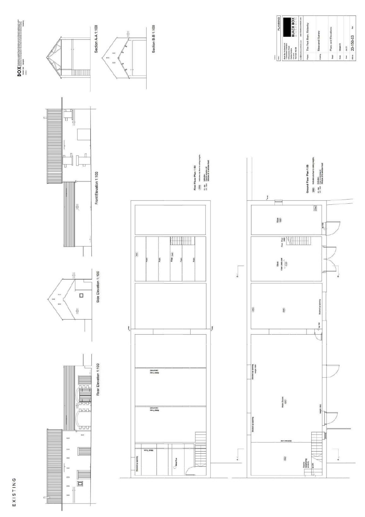